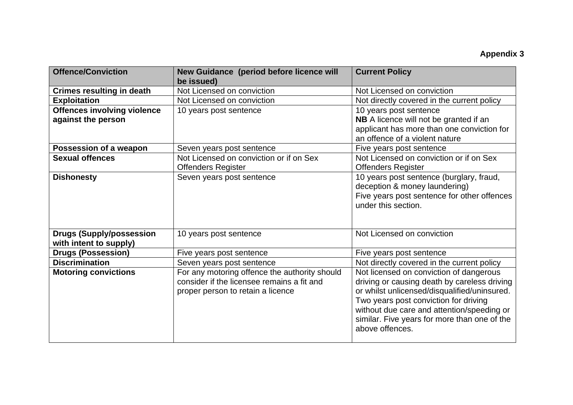## **Appendix 3**

| <b>Offence/Conviction</b>                                 | New Guidance (period before licence will<br>be issued)                                                                           | <b>Current Policy</b>                                                                                                                                                                                                                                                                             |
|-----------------------------------------------------------|----------------------------------------------------------------------------------------------------------------------------------|---------------------------------------------------------------------------------------------------------------------------------------------------------------------------------------------------------------------------------------------------------------------------------------------------|
| <b>Crimes resulting in death</b>                          | Not Licensed on conviction                                                                                                       | Not Licensed on conviction                                                                                                                                                                                                                                                                        |
| <b>Exploitation</b>                                       | Not Licensed on conviction                                                                                                       | Not directly covered in the current policy                                                                                                                                                                                                                                                        |
| <b>Offences involving violence</b>                        | 10 years post sentence                                                                                                           | 10 years post sentence                                                                                                                                                                                                                                                                            |
| against the person                                        |                                                                                                                                  | NB A licence will not be granted if an                                                                                                                                                                                                                                                            |
|                                                           |                                                                                                                                  | applicant has more than one conviction for                                                                                                                                                                                                                                                        |
|                                                           |                                                                                                                                  | an offence of a violent nature                                                                                                                                                                                                                                                                    |
| Possession of a weapon                                    | Seven years post sentence                                                                                                        | Five years post sentence                                                                                                                                                                                                                                                                          |
| <b>Sexual offences</b>                                    | Not Licensed on conviction or if on Sex<br><b>Offenders Register</b>                                                             | Not Licensed on conviction or if on Sex<br><b>Offenders Register</b>                                                                                                                                                                                                                              |
| <b>Dishonesty</b>                                         | Seven years post sentence                                                                                                        | 10 years post sentence (burglary, fraud,<br>deception & money laundering)<br>Five years post sentence for other offences<br>under this section.                                                                                                                                                   |
| <b>Drugs (Supply/possession</b><br>with intent to supply) | 10 years post sentence                                                                                                           | Not Licensed on conviction                                                                                                                                                                                                                                                                        |
| <b>Drugs (Possession)</b>                                 | Five years post sentence                                                                                                         | Five years post sentence                                                                                                                                                                                                                                                                          |
| <b>Discrimination</b>                                     | Seven years post sentence                                                                                                        | Not directly covered in the current policy                                                                                                                                                                                                                                                        |
| <b>Motoring convictions</b>                               | For any motoring offence the authority should<br>consider if the licensee remains a fit and<br>proper person to retain a licence | Not licensed on conviction of dangerous<br>driving or causing death by careless driving<br>or whilst unlicensed/disqualified/uninsured.<br>Two years post conviction for driving<br>without due care and attention/speeding or<br>similar. Five years for more than one of the<br>above offences. |